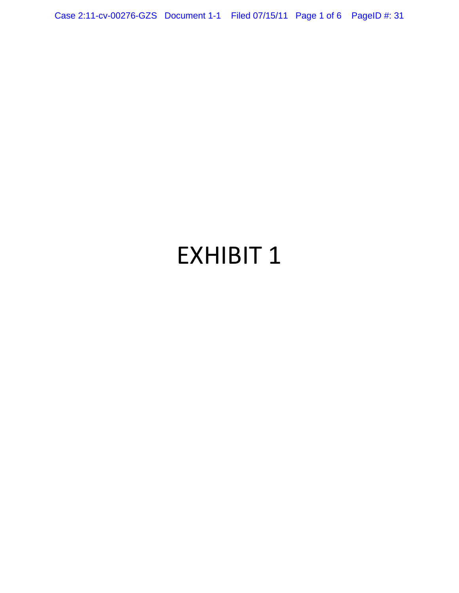## EXHIBIT 1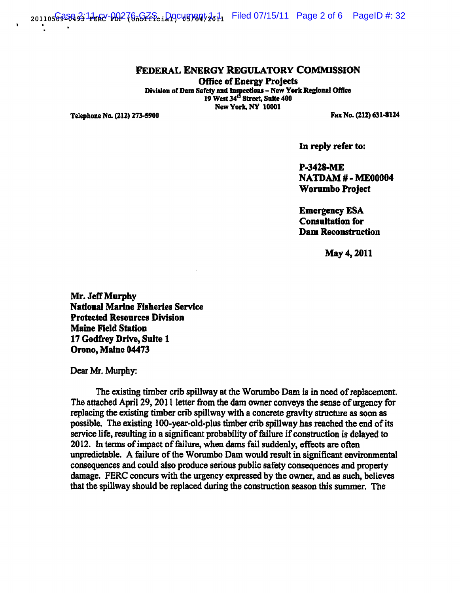$_{\rm 201105}$ ଚଉଦ୍ଧ ନ୍ର 1 $_{\rm 11}$ ଲେ $\gamma$ -ଜ $_{\rm 201}$ ନ୍ତେ $_{\rm 201}$ ନ୍ଦ୍ର ନ୍ୟୁ $_{\rm 201}$   $_{\rm 201}$   $_{\rm 201}$   $_{\rm 201}$   $_{\rm 201}$   $_{\rm 201}$   $_{\rm 201}$   $_{\rm 201}$   $_{\rm 201}$   $_{\rm 201}$   $_{\rm 201}$   $_{\rm 201}$   $_{\rm 201}$   $_{\$ 

## FEDERAL ENERGY REGULATORY COMMISSION

Office of Energy Projects Division of Dam Safety and Inspections - New York Regional Office 19 West 34<sup>th</sup> Street, Suite 400 New York, NY 10001

Telephone No. (212) 273-5900

Fax No. (212) 631-8124

In reply refer to:

P-3418-ME NATDAM # - ME00004 Worumbo Project

Emergency ESA Consultation for Dam Reconstruction

May 4,2011

Mr. Jeff Murphy National Marine Fisheries Service Protected Resources Division Maine Field Station 17 Godfrey Drive, Suite 1 Orono, Maine 04473

Dear Mr. Murphy:

The existing timber crib spillway at the Worumbo Dam is in need of replacement. The attached April 29, 2011 letter from the dam owner conveys the sense of urgency for replacing the existing timber crib spillway with a concrete gravity structure as soon as possible. The existing lOO-year-old-plus timber crib spillway has reached the end of its service life, resulting in a significant probability of failure if construction is delayed to 2012. In terms of impact of failure, when dams fail suddenly, effects are often unpredictable. A failure of the Worumbo Dam would result in significant environmental consequences and could also produce serious public safety consequences and property damage. FERC concurs with the urgency expressed by the owner, and as such, believes that the spillway should be replaced during the construction season this summer. The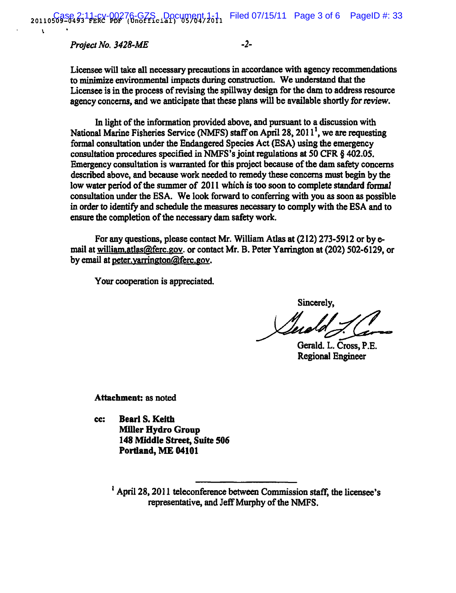*Project No. 3428-ME* -2-

 $\mathbf{r}$ 

Licensee will take all necessary precautions in accordance with agency recommendations to minimize environmental impacts during construction. We understand that the Licensee is in the process of revising the spillway design for the dam to address resource agency concerns, and we anticipate that these plans will be available shortly for review.

In light of the information provided above, and pursuant to a discussion with National Marine Fisheries Service (NMFS) staff on April 28,  $2011<sup>1</sup>$ , we are requesting formal consultation under the Endangered Species Act (ESA) using the emergency consultation procedures specified in NMFS's joint regulations at 50 CFR § 402.05. Emergency consultation is warranted for this project because of the dam safety concerns described above, and because work needed to remedy these concerns must begin by the low water period of the summer of 2011 which is too soon to complete standard formal consultation under the ESA. We look forward to conferring with you as soon as possible in order to identify and schedule the measures necessary to comply with the ESA and to ensure the completion of the necessary dam safety work.

For any questions, please contact Mr. William Atlas at (212) 273-5912 or by email at william.atlas@ferc.gov. or contact Mr. B. Peter Yarrington at (202) 502-6129, or by email at peter.yarrington@ferc.gov.

Your cooperation is appreciated.

Sincerely,

Sincerely,<br> *Leader*<br>Gerald. L. Cross, P.E.

Regional Engineer

Attachment: as noted

cc: Bearl S. Keith **Miller Hydro Group** 148 Middle Street, Suite 506 Portland, ME 04101

> $<sup>1</sup>$  April 28, 2011 teleconference between Commission staff, the licensee's</sup> representative, and Jeff Murpby of the NMFS.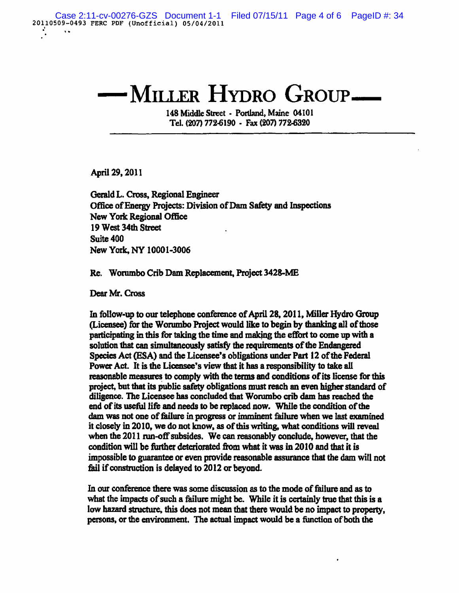## MILLER HYDRO GROUP-

148 Middle Street - Portland, Maine 04101 Tel. (207) 772-6190 - Fax (207) 172-6320

April 29, 2011

Gerald L. Cross, Regional Engineer Office of Energy Projects: Division of Dam Safety and Inspections New York Regional Office 19 West 34th Street Suite 400 New York, NY 10001-3006

Re. Worumbo Crib Dam Replacement, Project 3428-ME

Dear Mr. Cross

In follow-up to our telephone conference of April 28, 2011, Miller Hydro Group (Licensee) for the Worumbo Project would like to begin by thanking all of those participating in this for taking the time and making the effort to come up with a solution that can simultaneously satisfy the requirements of the Endangered Species Act (ESA) and the Licensee's obligations under Part 12 of the Federal Power Act. It is the Licensee's view that it has a responsibility to take all reasonable measures to comply with the terms and conditions of its license for this project, but that its public safety obligations must reach an even higher standard of diligence. The Licensee has concluded that Worumbo crib dam has reached the end of its useful life and needs to be replaced now. While the condition of the dam was not one of failure in progress or imminent failure when we last examined it closely in 2010, we do not know, as of this writing, what conditions will reveal when the 2011 run-off subsides. We can reasonably conclude, however, that the condition will be further deteriorated from what it was in 2010 and that it is impossible to guarantee or even provide reasonable assurance that the dam will not fail if construction is delayed to 2012 or beyond.

In our conference there was some discussion as to the mode of failure and as to what the impacts of such a failure might be. While it is certainly true that this is a low hazard structure, this does not mean that there would be no impact to property. persons, or the environment. The actual impact would be a function of both the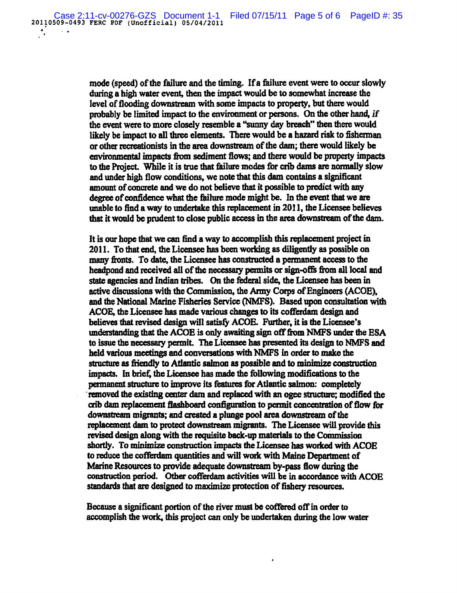mode (speed) of the failure and the timing. If a failure event were to occur slowly during a high water event, then the impact would be to somewhat increase the level of flooding downstream with some impacts to property, but there would probably be limited impact to the environment or persons. On the other hand, *if*  the event were to more closely resemble a "sunny day breach" then there would likely be impact to all three elements. There would be a hazard risk to fisherman or other recreationists in the area downstream of the dam; there would likely be environmentaJ impacts fiom sediment flows; and there would be property impacts to the Project. While it is true that failure modes for crib dams are normally slow and under high flow conditions, we note that this dam contains a significant amount of concrete and we do not believe that it possible to predict with any degree of confidence what the failure mode might be. In the event that we are unable to find a way to undertake this replacement in 2011, the Licensee believes that it would be prudent to close public access in the area downstream of the dam.

It is our hope that we can find a way to accomplish this replacement project in 2011. To that end, the Licensee bas been working as diligently as possible on many fronts. To date, the Licensee has constructed a permanent access to the headpond and received all of the necessary permits or sign-offs from all local and state agencies and Indian tribes. On the federal side, the Licensee bas been in active discussions with the Commission, the Army Corps of Engineers (ACOE), and the National Marine Fisheries Servicc (NMFS). Based upon consultation with ACOE, the Licensee has made various changes to its cofferdam design and believes tbat revised design will satisfy ACOE. Further, it is the Licensee's understanding that the ACOE is only awaiting sign off from NMFS under the ESA to issue the necessary permit. The Licensee has presented its design to NMFS and held various meetings and conversations with NMFS in order to make the structure as friendly to Atlantic salmon as possible and to minimize construction impacts. In brief, the Licensee has made the following modifications to the permanent structure to improve its features for Atlantic salmon: completely . removed the existing center dam and replaced with an ogee structure; modified the crib dam replacement fIashboard configuration to permit concentration of flow for downstream migrants; and created a plunge pool area downstream of the replacement dam to protect downstream migrants. The Licensee will provide this revised design along with the requisite back-up materials to the Commission shortly. To minimize construction impacts the Licensee bas worked with ACOE to reduce the cofferdam quantities and will work with Maine Department of Marine Resources to provide adequate downstream by-pass Bow during the construction period. Other cofferdam activities will be in accordance with ACOE standards that are designed to maximize protection of fishery resources.

Because a significant portion of the river must be coffered off in order to accomplish the work, this project can only be undertaken during the low water